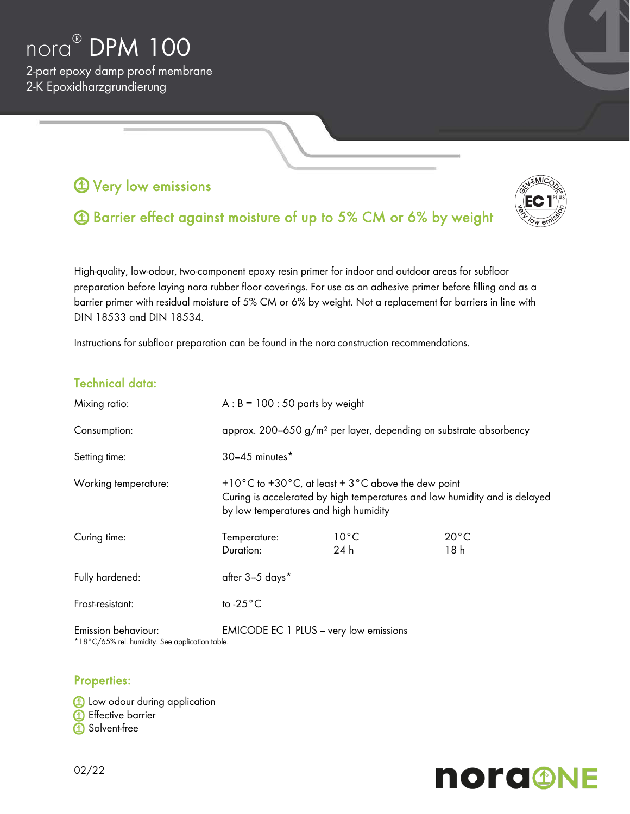

2-part epoxy damp proof membrane 2-K Epoxidharzgrundierung

## **1** Very low emissions



# Barrier effect against moisture of up to 5% CM or 6% by weight

High-quality, low-odour, two-component epoxy resin primer for indoor and outdoor areas for subfloor preparation before laying nora rubber floor coverings. For use as an adhesive primer before filling and as a barrier primer with residual moisture of 5% CM or 6% by weight. Not a replacement for barriers in line with DIN 18533 and DIN 18534.

Instructions for subfloor preparation can be found in the nora construction recommendations.

## Technical data:

| Mixing ratio:        | $A : B = 100 : 50$ parts by weight                                                                                                                                                                      |                        |                        |
|----------------------|---------------------------------------------------------------------------------------------------------------------------------------------------------------------------------------------------------|------------------------|------------------------|
| Consumption:         | approx. 200–650 $g/m^2$ per layer, depending on substrate absorbency                                                                                                                                    |                        |                        |
| Setting time:        | 30-45 minutes*                                                                                                                                                                                          |                        |                        |
| Working temperature: | +10 $\degree$ C to +30 $\degree$ C, at least + 3 $\degree$ C above the dew point<br>Curing is accelerated by high temperatures and low humidity and is delayed<br>by low temperatures and high humidity |                        |                        |
| Curing time:         | Temperature:<br>Duration:                                                                                                                                                                               | $10^{\circ}$ C<br>24 h | $20^{\circ}$ C<br>18 h |
| Fully hardened:      | after 3-5 days*                                                                                                                                                                                         |                        |                        |
| Frost-resistant:     | to $-25^{\circ}$ C                                                                                                                                                                                      |                        |                        |
| Emission behaviour:  | <b>EMICODE EC 1 PLUS - very low emissions</b>                                                                                                                                                           |                        |                        |

\*18°C/65% rel. humidity. See application table.

#### Properties:

**1** Low odour during application **1** Effective barrier **1** Solvent-free

# **nord@NE**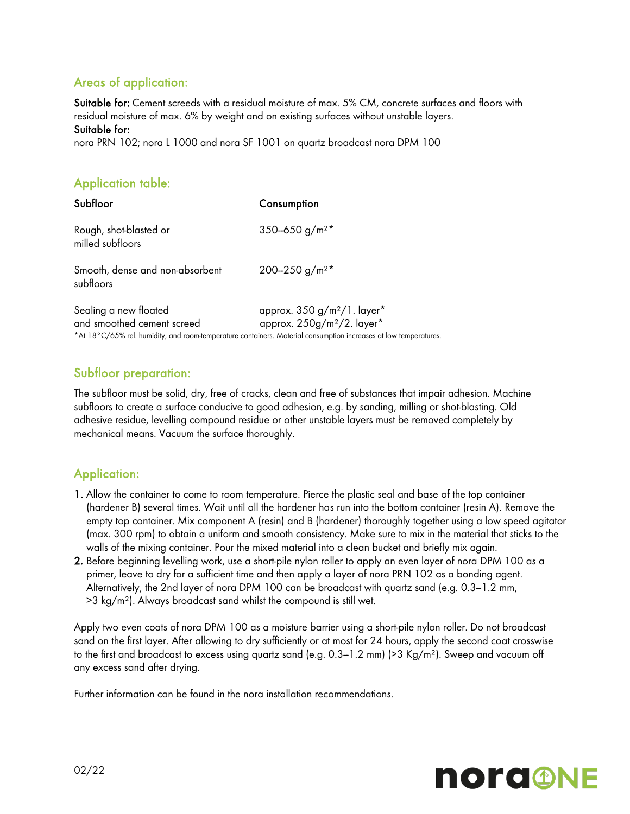## Areas of application:

Suitable for: Cement screeds with a residual moisture of max. 5% CM, concrete surfaces and floors with residual moisture of max. 6% by weight and on existing surfaces without unstable layers. Suitable for:

nora PRN 102; nora L 1000 and nora SF 1001 on quartz broadcast nora DPM 100

## Application table:

| Subfloor                                            | Consumption                                                                                                                                                                                  |
|-----------------------------------------------------|----------------------------------------------------------------------------------------------------------------------------------------------------------------------------------------------|
| Rough, shot-blasted or<br>milled subfloors          | 350-650 g/m <sup>2*</sup>                                                                                                                                                                    |
| Smooth, dense and non-absorbent<br>subfloors        | 200-250 g/m <sup>2*</sup>                                                                                                                                                                    |
| Sealing a new floated<br>and smoothed cement screed | approx. $350 g/m^2/1$ . layer*<br>approx. 250g/m <sup>2</sup> /2. layer*<br>*At 18°C/65% rel. humidity, and room-temperature containers. Material consumption increases at low temperatures. |

## Subfloor preparation:

The subfloor must be solid, dry, free of cracks, clean and free of substances that impair adhesion. Machine subfloors to create a surface conducive to good adhesion, e.g. by sanding, milling or shot-blasting. Old adhesive residue, levelling compound residue or other unstable layers must be removed completely by mechanical means. Vacuum the surface thoroughly.

## Application:

- 1. Allow the container to come to room temperature. Pierce the plastic seal and base of the top container (hardener B) several times. Wait until all the hardener has run into the bottom container (resin A). Remove the empty top container. Mix component A (resin) and B (hardener) thoroughly together using a low speed agitator (max. 300 rpm) to obtain a uniform and smooth consistency. Make sure to mix in the material that sticks to the walls of the mixing container. Pour the mixed material into a clean bucket and briefly mix again.
- 2. Before beginning levelling work, use a short-pile nylon roller to apply an even layer of nora DPM 100 as a primer, leave to dry for a sufficient time and then apply a layer of nora PRN 102 as a bonding agent. Alternatively, the 2nd layer of nora DPM 100 can be broadcast with quartz sand (e.g. 0.3-1.2 mm, >3 kg/m²). Always broadcast sand whilst the compound is still wet.

Apply two even coats of nora DPM 100 as a moisture barrier using a short-pile nylon roller. Do not broadcast sand on the first layer. After allowing to dry sufficiently or at most for 24 hours, apply the second coat crosswise to the first and broadcast to excess using quartz sand (e.g.  $0.3-1.2$  mm) ( $>3$  Kg/m<sup>2</sup>). Sweep and vacuum off any excess sand after drying.

Further information can be found in the nora installation recommendations.

# **norg@NE**